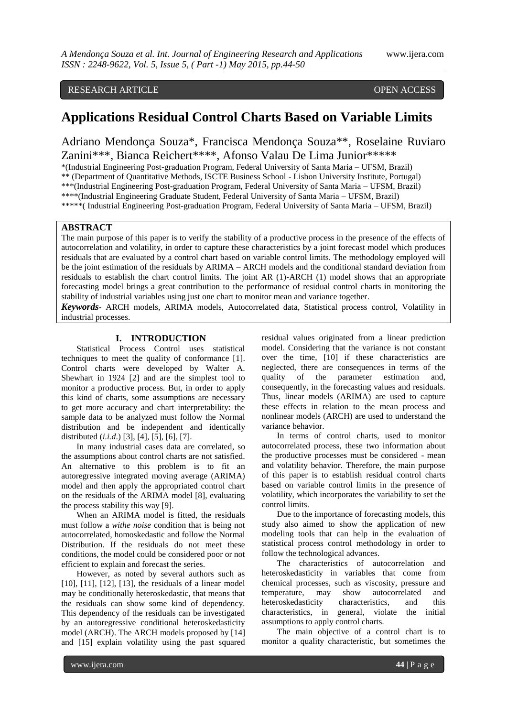## RESEARCH ARTICLE OPEN ACCESS

# **Applications Residual Control Charts Based on Variable Limits**

Adriano Mendonça Souza\*, Francisca Mendonça Souza\*\*, Roselaine Ruviaro Zanini\*\*\*, Bianca Reichert\*\*\*\*, Afonso Valau De Lima Junior\*\*\*\*\*

\*(Industrial Engineering Post-graduation Program, Federal University of Santa Maria – UFSM, Brazil) \*\* (Department of Quantitative Methods, ISCTE Business School - Lisbon University Institute, Portugal) \*\*\*(Industrial Engineering Post-graduation Program, Federal University of Santa Maria – UFSM, Brazil) \*\*\*\*(Industrial Engineering Graduate Student, Federal University of Santa Maria – UFSM, Brazil) \*\*\*\*\*( Industrial Engineering Post-graduation Program, Federal University of Santa Maria – UFSM, Brazil)

## **ABSTRACT**

The main purpose of this paper is to verify the stability of a productive process in the presence of the effects of autocorrelation and volatility, in order to capture these characteristics by a joint forecast model which produces residuals that are evaluated by a control chart based on variable control limits. The methodology employed will be the joint estimation of the residuals by ARIMA – ARCH models and the conditional standard deviation from residuals to establish the chart control limits. The joint AR (1)-ARCH (1) model shows that an appropriate forecasting model brings a great contribution to the performance of residual control charts in monitoring the stability of industrial variables using just one chart to monitor mean and variance together.

*Keywords*- ARCH models, ARIMA models, Autocorrelated data, Statistical process control, Volatility in industrial processes.

### **I. INTRODUCTION**

Statistical Process Control uses statistical techniques to meet the quality of conformance [1]. Control charts were developed by Walter A. Shewhart in 1924 [2] and are the simplest tool to monitor a productive process. But, in order to apply this kind of charts, some assumptions are necessary to get more accuracy and chart interpretability: the sample data to be analyzed must follow the Normal distribution and be independent and identically distributed (*i.i.d*.) [3], [4], [5], [6], [7].

In many industrial cases data are correlated, so the assumptions about control charts are not satisfied. An alternative to this problem is to fit an autoregressive integrated moving average (ARIMA) model and then apply the appropriated control chart on the residuals of the ARIMA model [8], evaluating the process stability this way [9].

When an ARIMA model is fitted, the residuals must follow a *withe noise* condition that is being not autocorrelated, homoskedastic and follow the Normal Distribution. If the residuals do not meet these conditions, the model could be considered poor or not efficient to explain and forecast the series.

However, as noted by several authors such as [10], [11], [12], [13], the residuals of a linear model may be conditionally heteroskedastic, that means that the residuals can show some kind of dependency. This dependency of the residuals can be investigated by an autoregressive conditional heteroskedasticity model (ARCH). The ARCH models proposed by [14] and [15] explain volatility using the past squared

residual values originated from a linear prediction model. Considering that the variance is not constant over the time, [10] if these characteristics are neglected, there are consequences in terms of the quality of the parameter estimation and, consequently, in the forecasting values and residuals. Thus, linear models (ARIMA) are used to capture these effects in relation to the mean process and nonlinear models (ARCH) are used to understand the variance behavior.

In terms of control charts, used to monitor autocorrelated process, these two information about the productive processes must be considered - mean and volatility behavior. Therefore, the main purpose of this paper is to establish residual control charts based on variable control limits in the presence of volatility, which incorporates the variability to set the control limits.

Due to the importance of forecasting models, this study also aimed to show the application of new modeling tools that can help in the evaluation of statistical process control methodology in order to follow the technological advances.

The characteristics of autocorrelation and heteroskedasticity in variables that come from chemical processes, such as viscosity, pressure and temperature, may show autocorrelated and heteroskedasticity characteristics, and this characteristics, in general, violate the initial assumptions to apply control charts.

The main objective of a control chart is to monitor a quality characteristic, but sometimes the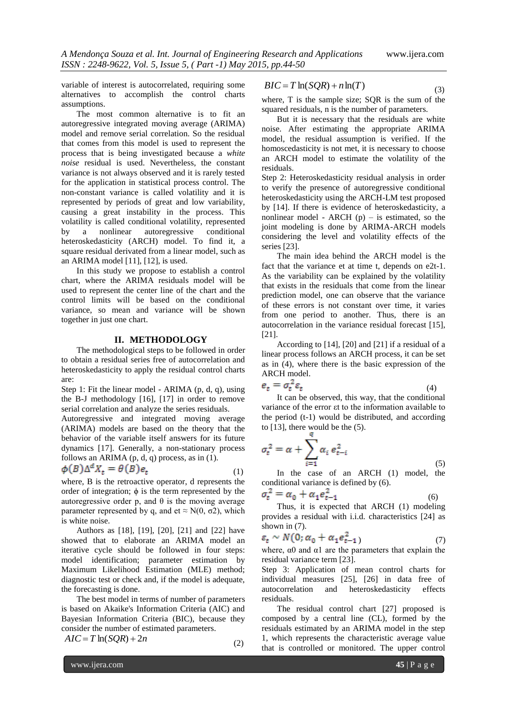(3)

variable of interest is autocorrelated, requiring some alternatives to accomplish the control charts assumptions.

The most common alternative is to fit an autoregressive integrated moving average (ARIMA) model and remove serial correlation. So the residual that comes from this model is used to represent the process that is being investigated because a *white noise* residual is used. Nevertheless, the constant variance is not always observed and it is rarely tested for the application in statistical process control. The non-constant variance is called volatility and it is represented by periods of great and low variability, causing a great instability in the process. This volatility is called conditional volatility, represented by a nonlinear autoregressive conditional heteroskedasticity (ARCH) model. To find it, a square residual derivated from a linear model, such as an ARIMA model [11], [12], is used.

In this study we propose to establish a control chart, where the ARIMA residuals model will be used to represent the center line of the chart and the control limits will be based on the conditional variance, so mean and variance will be shown together in just one chart.

#### **II. METHODOLOGY**

The methodological steps to be followed in order to obtain a residual series free of autocorrelation and heteroskedasticity to apply the residual control charts are:

Step 1: Fit the linear model - ARIMA (p, d, q), using the B-J methodology [16], [17] in order to remove serial correlation and analyze the series residuals.

Autoregressive and integrated moving average (ARIMA) models are based on the theory that the behavior of the variable itself answers for its future dynamics [17]. Generally, a non-stationary process follows an ARIMA (p, d, q) process, as in (1).

$$
\phi(B)\Delta^{\alpha}X_t = \theta(B)e_t \tag{1}
$$

where, B is the retroactive operator, d represents the order of integration;  $\phi$  is the term represented by the autoregressive order p, and θ is the moving average parameter represented by q, and et  $\approx N(0, \sigma^2)$ , which is white noise.

Authors as [18], [19], [20], [21] and [22] have showed that to elaborate an ARIMA model an iterative cycle should be followed in four steps: model identification; parameter estimation by Maximum Likelihood Estimation (MLE) method; diagnostic test or check and, if the model is adequate, the forecasting is done.

The best model in terms of number of parameters is based on Akaike's Information Criteria (AIC) and Bayesian Information Criteria (BIC), because they consider the number of estimated parameters.

(2)

$$
AIC = T\ln(SQR) + 2n
$$

 $BIC = T \ln(SQR) + n \ln(T)$ 

where, T is the sample size; SQR is the sum of the squared residuals, n is the number of parameters.

But it is necessary that the residuals are white noise. After estimating the appropriate ARIMA model, the residual assumption is verified. If the homoscedasticity is not met, it is necessary to choose an ARCH model to estimate the volatility of the residuals.

Step 2: Heteroskedasticity residual analysis in order to verify the presence of autoregressive conditional heteroskedasticity using the ARCH-LM test proposed by [14]. If there is evidence of heteroskedasticity, a nonlinear model - ARCH  $(p)$  – is estimated, so the joint modeling is done by ARIMA-ARCH models considering the level and volatility effects of the series [23].

The main idea behind the ARCH model is the fact that the variance et at time t, depends on e2t-1. As the variability can be explained by the volatility that exists in the residuals that come from the linear prediction model, one can observe that the variance of these errors is not constant over time, it varies from one period to another. Thus, there is an autocorrelation in the variance residual forecast [15], [21].

According to [14], [20] and [21] if a residual of a linear process follows an ARCH process, it can be set as in (4), where there is the basic expression of the ARCH model.

$$
e_t = \sigma_t^{\prime} \varepsilon_t \tag{4}
$$

It can be observed, this way, that the conditional variance of the error εt to the information available to the period (t-1) would be distributed, and according to [13], there would be the (5).

$$
\sigma_t^2 = \alpha + \sum_{i=1}^t \alpha_i e_{t-i}^2
$$
\n<sup>(5)</sup>

In the case of an ARCH (1) model, the conditional variance is defined by (6).

$$
\sigma_t^2 = \alpha_0 + \alpha_1 e_{t-1}^2 \tag{6}
$$

Thus, it is expected that ARCH (1) modeling provides a residual with i.i.d. characteristics [24] as shown in  $(7)$ .

$$
\varepsilon_t \sim N(0; \alpha_0 + \alpha_1 e_{t-1}^2) \tag{7}
$$

where,  $\alpha$ 0 and  $\alpha$ 1 are the parameters that explain the residual variance term [23].

Step 3: Application of mean control charts for individual measures [25], [26] in data free of autocorrelation and heteroskedasticity effects residuals.

The residual control chart [27] proposed is composed by a central line (CL), formed by the residuals estimated by an ARIMA model in the step 1, which represents the characteristic average value that is controlled or monitored. The upper control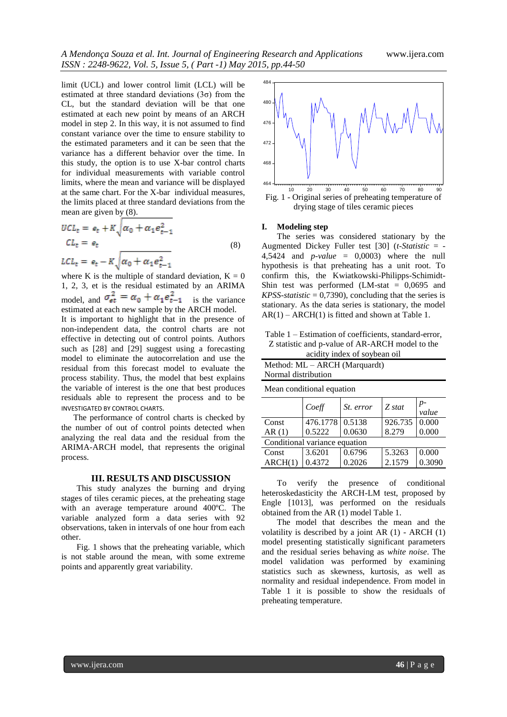limit (UCL) and lower control limit (LCL) will be estimated at three standard deviations  $(3\sigma)$  from the CL, but the standard deviation will be that one estimated at each new point by means of an ARCH model in step 2. In this way, it is not assumed to find constant variance over the time to ensure stability to the estimated parameters and it can be seen that the variance has a different behavior over the time. In this study, the option is to use X-bar control charts for individual measurements with variable control limits, where the mean and variance will be displayed at the same chart. For the X-bar individual measures, the limits placed at three standard deviations from the mean are given by (8).

$$
UCLt = et + K\sqrt{\alpha_0 + \alpha_1 e_{t-1}^2}
$$
  
\n
$$
CLt = et
$$
  
\n
$$
LCLt = et - K\sqrt{\alpha_0 + \alpha_1 e_{t-1}^2}
$$
 (8)

where K is the multiple of standard deviation,  $K = 0$ 1, 2, 3, et is the residual estimated by an ARIMA model, and  $\sigma_{et}^2 = \alpha_0 + \alpha_1 e_{t-1}^2$  is the variance estimated at each new sample by the ARCH model.

It is important to highlight that in the presence of non-independent data, the control charts are not effective in detecting out of control points. Authors such as [28] and [29] suggest using a forecasting model to eliminate the autocorrelation and use the residual from this forecast model to evaluate the process stability. Thus, the model that best explains the variable of interest is the one that best produces residuals able to represent the process and to be INVESTIGATED BY CONTROL CHARTS.

The performance of control charts is checked by the number of out of control points detected when analyzing the real data and the residual from the ARIMA-ARCH model, that represents the original process.

#### **III. RESULTS AND DISCUSSION**

This study analyzes the burning and drying stages of tiles ceramic pieces, at the preheating stage with an average temperature around 400ºC. The variable analyzed form a data series with 92 observations, taken in intervals of one hour from each other.

Fig. 1 shows that the preheating variable, which is not stable around the mean, with some extreme points and apparently great variability.



#### **I. Modeling step**

The series was considered stationary by the Augmented Dickey Fuller test [30] (*t-Statistic* = - 4,5424 and *p-value* = 0,0003) where the null hypothesis is that preheating has a unit root. To confirm this, the Kwiatkowski-Philipps-Schimidt-Shin test was performed (LM-stat = 0,0695 and *KPSS-statistic* = 0,7390), concluding that the series is stationary. As the data series is stationary, the model  $AR(1) - ARCH(1)$  is fitted and shown at Table 1.

| Table 1 – Estimation of coefficients, standard-error, |
|-------------------------------------------------------|
| Z statistic and p-value of AR-ARCH model to the       |

|  | acidity index of soybean oil |  |
|--|------------------------------|--|
|  |                              |  |

| Method: ML – ARCH (Marquardt) |  |
|-------------------------------|--|
| Normal distribution           |  |
|                               |  |

Mean conditional equation *Coeff*  $\Big| \begin{matrix} St. & error \end{matrix} \Big| \begin{matrix} Z & state \end{matrix} \Big| \begin{matrix} p \end{matrix} \Big|$ *value* Const AR (1) 476.1778 0.5222 0.5138 0.0630 926.735 8.279 0.000 0.000 Conditional variance equation Const  $ARCH(1)$ 3.6201 0.4372 0.6796 0.2026 5.3263 2.1579 0.000 0.3090

To verify the presence of conditional heteroskedasticity the ARCH-LM test, proposed by Engle [1013], was performed on the residuals obtained from the AR (1) model Table 1.

The model that describes the mean and the volatility is described by a joint AR (1) - ARCH (1) model presenting statistically significant parameters and the residual series behaving as *white noise*. The model validation was performed by examining statistics such as skewness, kurtosis, as well as normality and residual independence. From model in Table 1 it is possible to show the residuals of preheating temperature.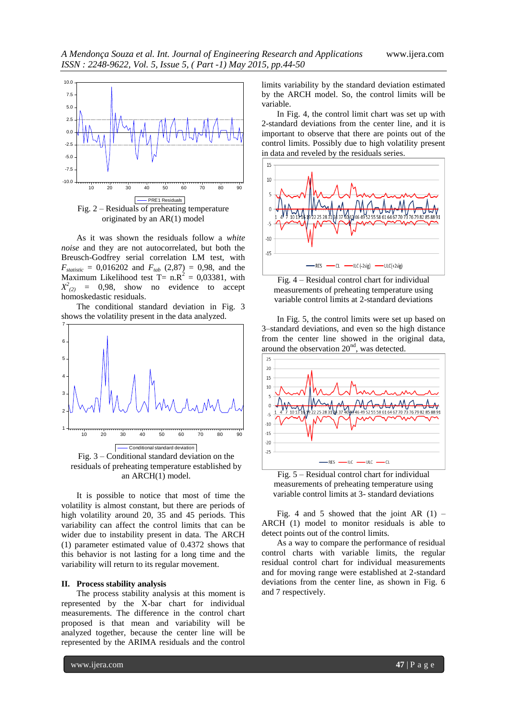

originated by an AR(1) model

As it was shown the residuals follow a *white noise* and they are not autocorrelated, but both the Breusch-Godfrey serial correlation LM test, with  $F_{statistic} = 0.016202$  and  $F_{tab}$  (2,87) = 0,98, and the Maximum Likelihood test  $T = n.R^2 = 0.03381$ , with  $X^2_{(2)}$  = 0,98, show no evidence to accept homoskedastic residuals.

The conditional standard deviation in Fig. 3 shows the volatility present in the data analyzed.



residuals of preheating temperature established by an ARCH(1) model.

It is possible to notice that most of time the volatility is almost constant, but there are periods of high volatility around 20, 35 and 45 periods. This variability can affect the control limits that can be wider due to instability present in data. The ARCH (1) parameter estimated value of 0.4372 shows that this behavior is not lasting for a long time and the variability will return to its regular movement.

#### **II. Process stability analysis**

The process stability analysis at this moment is represented by the X-bar chart for individual measurements. The difference in the control chart proposed is that mean and variability will be analyzed together, because the center line will be represented by the ARIMA residuals and the control

limits variability by the standard deviation estimated by the ARCH model. So, the control limits will be variable.

In Fig. 4, the control limit chart was set up with 2-standard deviations from the center line, and it is important to observe that there are points out of the control limits. Possibly due to high volatility present in data and reveled by the residuals series.



Fig. 4 – Residual control chart for individual measurements of preheating temperature using variable control limits at 2-standard deviations

In Fig. 5, the control limits were set up based on 3–standard deviations, and even so the high distance from the center line showed in the original data, around the observation  $20<sup>nd</sup>$ , was detected.



Fig. 5 – Residual control chart for individual measurements of preheating temperature using variable control limits at 3- standard deviations

Fig. 4 and 5 showed that the joint AR  $(1)$  – ARCH (1) model to monitor residuals is able to detect points out of the control limits.

As a way to compare the performance of residual control charts with variable limits, the regular residual control chart for individual measurements and for moving range were established at 2-standard deviations from the center line, as shown in Fig. 6 and 7 respectively.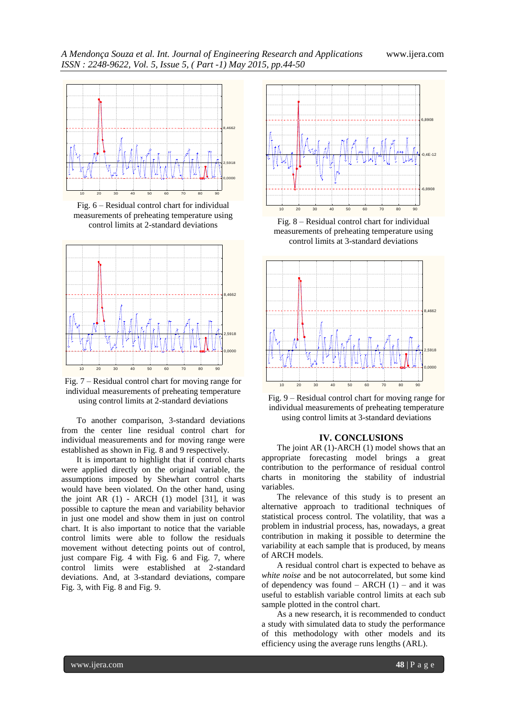

Fig. 6 – Residual control chart for individual measurements of preheating temperature using control limits at 2-standard deviations



Fig. 7 – Residual control chart for moving range for individual measurements of preheating temperature using control limits at 2-standard deviations

To another comparison, 3-standard deviations from the center line residual control chart for individual measurements and for moving range were established as shown in Fig. 8 and 9 respectively.

It is important to highlight that if control charts were applied directly on the original variable, the assumptions imposed by Shewhart control charts would have been violated. On the other hand, using the joint AR  $(1)$  - ARCH  $(1)$  model  $[31]$ , it was possible to capture the mean and variability behavior in just one model and show them in just on control chart. It is also important to notice that the variable control limits were able to follow the residuals movement without detecting points out of control, just compare Fig. 4 with Fig. 6 and Fig. 7, where control limits were established at 2-standard deviations. And, at 3-standard deviations, compare Fig. 3, with Fig. 8 and Fig. 9.



Fig. 8 – Residual control chart for individual measurements of preheating temperature using control limits at 3-standard deviations





#### **IV. CONCLUSIONS**

The joint AR (1)-ARCH (1) model shows that an appropriate forecasting model brings a great contribution to the performance of residual control charts in monitoring the stability of industrial variables.

The relevance of this study is to present an alternative approach to traditional techniques of statistical process control. The volatility, that was a problem in industrial process, has, nowadays, a great contribution in making it possible to determine the variability at each sample that is produced, by means of ARCH models.

A residual control chart is expected to behave as *white noise* and be not autocorrelated, but some kind of dependency was found  $-$  ARCH (1)  $-$  and it was useful to establish variable control limits at each sub sample plotted in the control chart.

As a new research, it is recommended to conduct a study with simulated data to study the performance of this methodology with other models and its efficiency using the average runs lengths (ARL).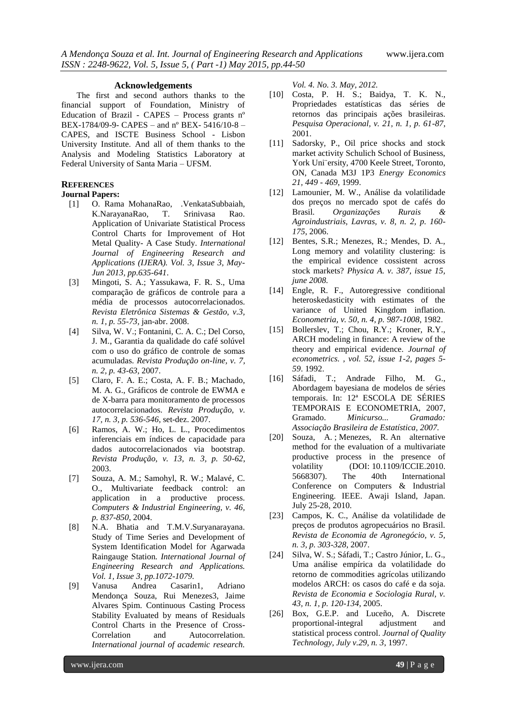#### **Acknowledgements**

The first and second authors thanks to the financial support of Foundation, Ministry of Education of Brazil - CAPES – Process grants nº BEX-1784/09-9- CAPES – and nº BEX- 5416/10-8 – CAPES, and ISCTE Business School - Lisbon University Institute. And all of them thanks to the Analysis and Modeling Statistics Laboratory at Federal University of Santa Maria – UFSM.

## **REFERENCES**

#### **Journal Papers:**

- [1] O. Rama MohanaRao, .VenkataSubbaiah, K.NarayanaRao, T. Srinivasa Rao. Application of Univariate Statistical Process Control Charts for Improvement of Hot Metal Quality- A Case Study. *International Journal of Engineering Research and Applications (IJERA). Vol. 3, Issue 3, May-Jun 2013, pp.635-641*.
- [3] Mingoti, S. A.; Yassukawa, F. R. S., Uma comparação de gráficos de controle para a média de processos autocorrelacionados. *Revista Eletrônica Sistemas & Gestão, v.3, n. 1, p. 55-73,* jan-abr. 2008.
- [4] Silva, W. V.; Fontanini, C. A. C.; Del Corso, J. M., Garantia da qualidade do café solúvel com o uso do gráfico de controle de somas acumuladas. *Revista Produção on-line, v. 7, n. 2, p. 43-63*, 2007.
- [5] Claro, F. A. E.; Costa, A. F. B.; Machado, M. A. G., Gráficos de controle de EWMA e de X-barra para monitoramento de processos autocorrelacionados. *Revista Produção, v. 17, n. 3, p. 536-546*, set-dez. 2007.
- [6] Ramos, A. W.; Ho, L. L., Procedimentos inferenciais em índices de capacidade para dados autocorrelacionados via bootstrap. *Revista Produção, v. 13, n. 3, p. 50-62*, 2003.
- [7] Souza, A. M.; Samohyl, R. W.; Malavé, C. O., Multivariate feedback control: an application in a productive process. *Computers & Industrial Engineering, v. 46, p. 837-850*, 2004.
- [8] N.A. Bhatia and T.M.V.Suryanarayana. Study of Time Series and Development of System Identification Model for Agarwada Raingauge Station*. International Journal of Engineering Research and Applications. Vol. 1, Issue 3, pp.1072-1079.*
- [9] Vanusa Andrea Casarin1, Adriano Mendonça Souza, Rui Menezes3, Jaime Alvares Spim. Continuous Casting Process Stability Evaluated by means of Residuals Control Charts in the Presence of Cross-Correlation and Autocorrelation. *International journal of academic research.*

*Vol. 4. No. 3. May, 2012.*

- [10] Costa, P. H. S.; Baidya, T. K. N., Propriedades estatísticas das séries de retornos das principais ações brasileiras. *Pesquisa Operacional, v. 21, n. 1, p. 61-87*, 2001.
- [11] Sadorsky, P., Oil price shocks and stock market activity Schulich School of Business, York Uni¨ersity, 4700 Keele Street, Toronto, ON, Canada M3J 1P3 *Energy Economics 21, 449 - 469*, 1999.
- [12] Lamounier, M. W., Análise da volatilidade dos preços no mercado spot de cafés do Brasil. *Organizações Rurais & Agroindustriais, Lavras, v. 8, n. 2, p. 160- 175*, 2006.
- [12] Bentes, S.R.; Menezes, R.; Mendes, D. A., Long memory and volatility clustering: is the empirical evidence cossistent across stock markets? *Physica A. v. 387, issue 15, june 2008.*
- [14] Engle, R. F., Autoregressive conditional heteroskedasticity with estimates of the variance of United Kingdom inflation*. Econometria, v. 50, n. 4, p. 987-1008*, 1982.
- [15] Bollerslev, T.; Chou, R.Y.; Kroner, R.Y., ARCH modeling in finance: A review of the theory and empirical evidence. *Journal of econometrics. , vol. 52, issue 1-2, pages 5- 59*. 1992.
- [16] Sáfadi, T.; Andrade Filho, M. G., Abordagem bayesiana de modelos de séries temporais. In: 12ª ESCOLA DE SÉRIES TEMPORAIS E ECONOMETRIA, 2007, Gramado. *Minicurso... Gramado: Associação Brasileira de Estatística, 2007.*
- [20] Souza, A. ; Menezes, R. An alternative method for the evaluation of a multivariate productive process in the presence of volatility (DOI: 10.1109/ICCIE.2010. 5668307). The 40th International Conference on Computers & Industrial Engineering. IEEE. Awaji Island, Japan. July 25-28, 2010.
- [23] Campos, K. C., Análise da volatilidade de preços de produtos agropecuários no Brasil*. Revista de Economia de Agronegócio, v. 5, n. 3, p. 303-328*, 2007.
- [24] Silva, W. S.; Sáfadi, T.; Castro Júnior, L. G., Uma análise empírica da volatilidade do retorno de commodities agrícolas utilizando modelos ARCH: os casos do café e da soja. *Revista de Economia e Sociologia Rural, v. 43, n. 1, p. 120-134*, 2005.
- [26] Box, G.E.P. and Luceño, A. Discrete proportional-integral adjustment and statistical process control. *Journal of Quality Technology, July v.29, n. 3*, 1997.